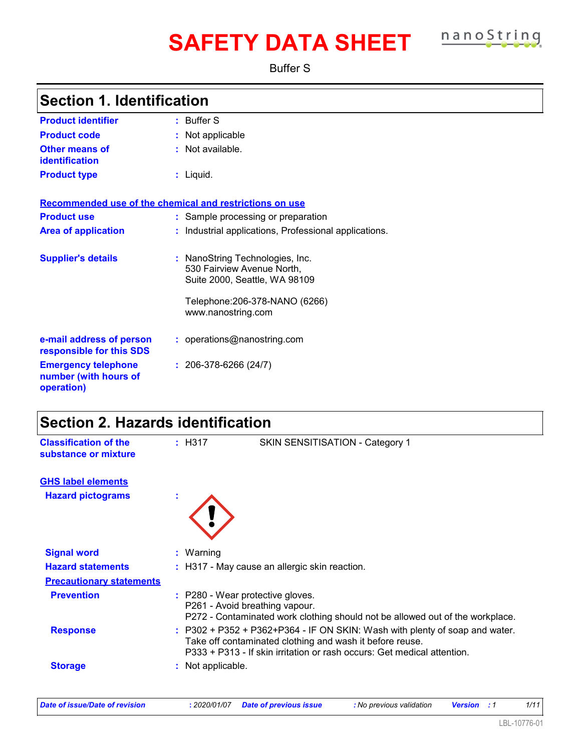# **SAFETY DATA SHEET nanoString**

Buffer S

| <b>Section 1. Identification</b>                                  |                        |                                                                                                |
|-------------------------------------------------------------------|------------------------|------------------------------------------------------------------------------------------------|
| <b>Product identifier</b>                                         | $:$ Buffer S           |                                                                                                |
| <b>Product code</b>                                               | Not applicable         |                                                                                                |
| <b>Other means of</b><br>identification                           | : Not available.       |                                                                                                |
| <b>Product type</b>                                               | $:$ Liquid.            |                                                                                                |
| Recommended use of the chemical and restrictions on use           |                        |                                                                                                |
| <b>Product use</b>                                                |                        | Sample processing or preparation                                                               |
| <b>Area of application</b>                                        |                        | Industrial applications, Professional applications.                                            |
| <b>Supplier's details</b>                                         |                        | : NanoString Technologies, Inc.<br>530 Fairview Avenue North,<br>Suite 2000, Seattle, WA 98109 |
|                                                                   | www.nanostring.com     | Telephone: 206-378-NANO (6266)                                                                 |
| e-mail address of person<br>responsible for this SDS              |                        | : operations@nanostring.com                                                                    |
| <b>Emergency telephone</b><br>number (with hours of<br>operation) | $: 206-378-6266(24/7)$ |                                                                                                |
| <b>Section 2. Hazards identification</b>                          |                        |                                                                                                |
| <b>Classification of the</b><br>substance or mixture              | : H317                 | SKIN SENSITISATION - Category 1                                                                |
| <b>GHS label elements</b>                                         |                        |                                                                                                |
| <b>Hazard pictograms</b>                                          |                        |                                                                                                |
|                                                                   |                        |                                                                                                |
| <b>Signal word</b>                                                | : Warning              |                                                                                                |
| <b>Hazard statements</b>                                          |                        | : H317 - May cause an allergic skin reaction.                                                  |
| <b>Precautionary statements</b>                                   |                        |                                                                                                |
| <b>Prevention</b>                                                 |                        | : P280 - Wear protective gloves.<br>P261 - Avoid breathing vapour.                             |

*Date of issue/Date of revision* **:** *2020/01/07 Date of previous issue : No previous validation Version : 1 1/11*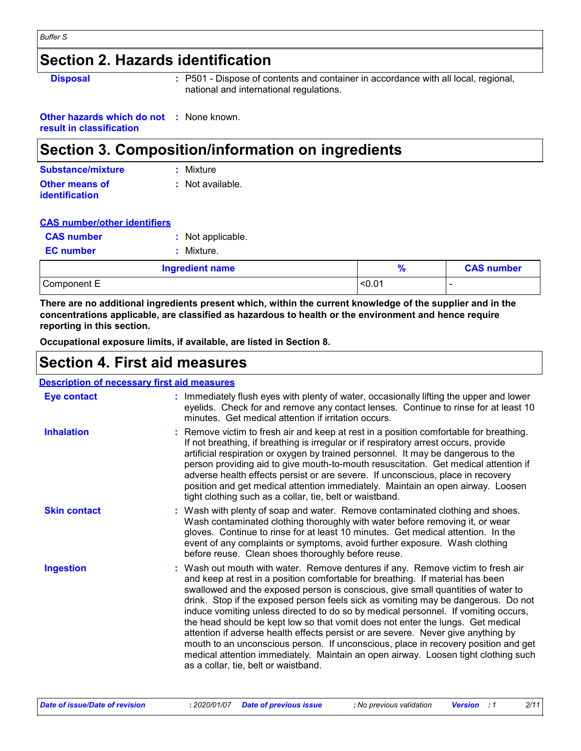#### *Buffer S*

### **Section 2. Hazards identification**

**Disposal :** P501 - Dispose of contents and container in accordance with all local, regional, national and international regulations.

**Other hazards which do not :** None known. **result in classification**

### **Section 3. Composition/information on ingredients**

| <b>Substance/mixture</b> | : Mixture        |
|--------------------------|------------------|
| <b>Other means of</b>    | : Not available. |
| identification           |                  |

| <b>CAS number/other identifiers</b> |
|-------------------------------------|
|-------------------------------------|

|                   | <b>Ingredient name</b> |
|-------------------|------------------------|
| <b>EC</b> number  | : Mixture.             |
| <b>CAS number</b> | : Not applicable.      |

| <b>Ingredient name</b> |        | <b>CAS number</b> |
|------------------------|--------|-------------------|
| Component E            | < 0.01 | -                 |

**There are no additional ingredients present which, within the current knowledge of the supplier and in the concentrations applicable, are classified as hazardous to health or the environment and hence require reporting in this section.**

**Occupational exposure limits, if available, are listed in Section 8.**

### **Section 4. First aid measures**

#### **Description of necessary first aid measures**

| <b>Eye contact</b>  | : Immediately flush eyes with plenty of water, occasionally lifting the upper and lower<br>eyelids. Check for and remove any contact lenses. Continue to rinse for at least 10<br>minutes. Get medical attention if irritation occurs.                                                                                                                                                                                                                                                                                                                                                                                                                                                                                                                                                                                       |
|---------------------|------------------------------------------------------------------------------------------------------------------------------------------------------------------------------------------------------------------------------------------------------------------------------------------------------------------------------------------------------------------------------------------------------------------------------------------------------------------------------------------------------------------------------------------------------------------------------------------------------------------------------------------------------------------------------------------------------------------------------------------------------------------------------------------------------------------------------|
| <b>Inhalation</b>   | : Remove victim to fresh air and keep at rest in a position comfortable for breathing.<br>If not breathing, if breathing is irregular or if respiratory arrest occurs, provide<br>artificial respiration or oxygen by trained personnel. It may be dangerous to the<br>person providing aid to give mouth-to-mouth resuscitation. Get medical attention if<br>adverse health effects persist or are severe. If unconscious, place in recovery<br>position and get medical attention immediately. Maintain an open airway. Loosen<br>tight clothing such as a collar, tie, belt or waistband.                                                                                                                                                                                                                                 |
| <b>Skin contact</b> | : Wash with plenty of soap and water. Remove contaminated clothing and shoes.<br>Wash contaminated clothing thoroughly with water before removing it, or wear<br>gloves. Continue to rinse for at least 10 minutes. Get medical attention. In the<br>event of any complaints or symptoms, avoid further exposure. Wash clothing<br>before reuse. Clean shoes thoroughly before reuse.                                                                                                                                                                                                                                                                                                                                                                                                                                        |
| <b>Ingestion</b>    | : Wash out mouth with water. Remove dentures if any. Remove victim to fresh air<br>and keep at rest in a position comfortable for breathing. If material has been<br>swallowed and the exposed person is conscious, give small quantities of water to<br>drink. Stop if the exposed person feels sick as vomiting may be dangerous. Do not<br>induce vomiting unless directed to do so by medical personnel. If vomiting occurs,<br>the head should be kept low so that vomit does not enter the lungs. Get medical<br>attention if adverse health effects persist or are severe. Never give anything by<br>mouth to an unconscious person. If unconscious, place in recovery position and get<br>medical attention immediately. Maintain an open airway. Loosen tight clothing such<br>as a collar, tie, belt or waistband. |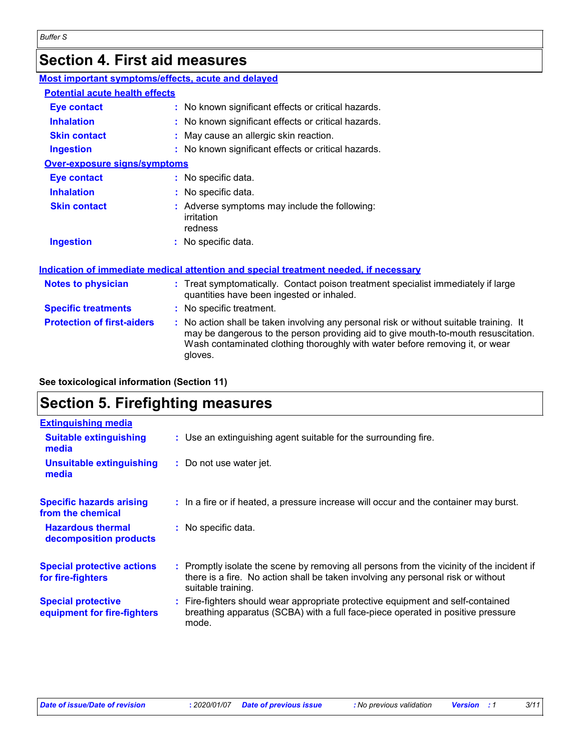# **Section 4. First aid measures**

| Most important symptoms/effects, acute and delayed |                                                                                                                                                                                                                                                                          |
|----------------------------------------------------|--------------------------------------------------------------------------------------------------------------------------------------------------------------------------------------------------------------------------------------------------------------------------|
| <b>Potential acute health effects</b>              |                                                                                                                                                                                                                                                                          |
| <b>Eye contact</b>                                 | : No known significant effects or critical hazards.                                                                                                                                                                                                                      |
| <b>Inhalation</b>                                  | : No known significant effects or critical hazards.                                                                                                                                                                                                                      |
| <b>Skin contact</b>                                | May cause an allergic skin reaction.                                                                                                                                                                                                                                     |
| <b>Ingestion</b>                                   | : No known significant effects or critical hazards.                                                                                                                                                                                                                      |
| Over-exposure signs/symptoms                       |                                                                                                                                                                                                                                                                          |
| <b>Eye contact</b>                                 | : No specific data.                                                                                                                                                                                                                                                      |
| <b>Inhalation</b>                                  | : No specific data.                                                                                                                                                                                                                                                      |
| <b>Skin contact</b>                                | : Adverse symptoms may include the following:<br>irritation<br>redness                                                                                                                                                                                                   |
| <b>Ingestion</b>                                   | : No specific data.                                                                                                                                                                                                                                                      |
|                                                    | Indication of immediate medical attention and special treatment needed, if necessary                                                                                                                                                                                     |
| <b>Notes to physician</b>                          | : Treat symptomatically. Contact poison treatment specialist immediately if large<br>quantities have been ingested or inhaled.                                                                                                                                           |
| <b>Specific treatments</b>                         | : No specific treatment.                                                                                                                                                                                                                                                 |
| <b>Protection of first-aiders</b>                  | : No action shall be taken involving any personal risk or without suitable training. It<br>may be dangerous to the person providing aid to give mouth-to-mouth resuscitation.<br>Wash contaminated clothing thoroughly with water before removing it, or wear<br>gloves. |

**See toxicological information (Section 11)**

### **Section 5. Firefighting measures**

| <b>Extinguishing media</b>                               |                                                                                                                                                                                                     |
|----------------------------------------------------------|-----------------------------------------------------------------------------------------------------------------------------------------------------------------------------------------------------|
| <b>Suitable extinguishing</b><br>media                   | : Use an extinguishing agent suitable for the surrounding fire.                                                                                                                                     |
| <b>Unsuitable extinguishing</b><br>media                 | : Do not use water jet.                                                                                                                                                                             |
| <b>Specific hazards arising</b><br>from the chemical     | : In a fire or if heated, a pressure increase will occur and the container may burst.                                                                                                               |
| <b>Hazardous thermal</b><br>decomposition products       | : No specific data.                                                                                                                                                                                 |
| <b>Special protective actions</b><br>for fire-fighters   | : Promptly isolate the scene by removing all persons from the vicinity of the incident if<br>there is a fire. No action shall be taken involving any personal risk or without<br>suitable training. |
| <b>Special protective</b><br>equipment for fire-fighters | : Fire-fighters should wear appropriate protective equipment and self-contained<br>breathing apparatus (SCBA) with a full face-piece operated in positive pressure<br>mode.                         |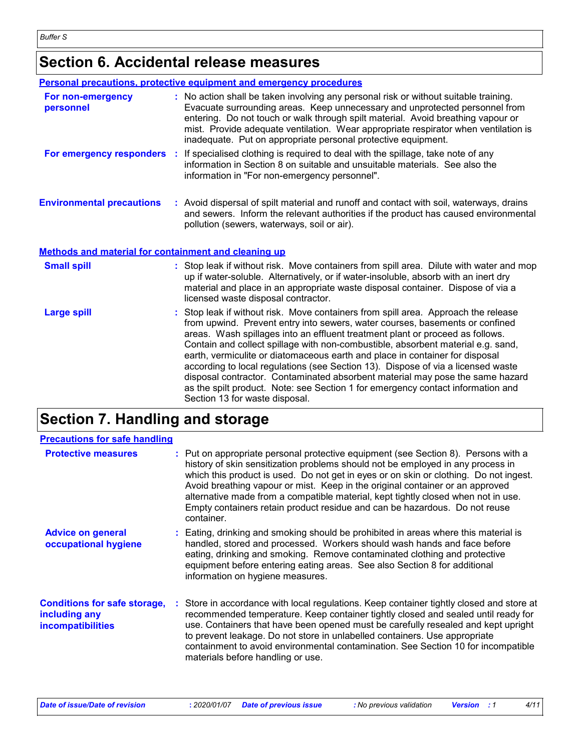### **Section 6. Accidental release measures**

|                                                      | <b>Personal precautions, protective equipment and emergency procedures</b>                                                                                                                                                                                                                                                                                                                                                                                                                                                                                                                                                                                                                                        |
|------------------------------------------------------|-------------------------------------------------------------------------------------------------------------------------------------------------------------------------------------------------------------------------------------------------------------------------------------------------------------------------------------------------------------------------------------------------------------------------------------------------------------------------------------------------------------------------------------------------------------------------------------------------------------------------------------------------------------------------------------------------------------------|
| For non-emergency<br>personnel                       | : No action shall be taken involving any personal risk or without suitable training.<br>Evacuate surrounding areas. Keep unnecessary and unprotected personnel from<br>entering. Do not touch or walk through spilt material. Avoid breathing vapour or<br>mist. Provide adequate ventilation. Wear appropriate respirator when ventilation is<br>inadequate. Put on appropriate personal protective equipment.                                                                                                                                                                                                                                                                                                   |
| For emergency responders :                           | If specialised clothing is required to deal with the spillage, take note of any<br>information in Section 8 on suitable and unsuitable materials. See also the<br>information in "For non-emergency personnel".                                                                                                                                                                                                                                                                                                                                                                                                                                                                                                   |
| <b>Environmental precautions</b>                     | : Avoid dispersal of spilt material and runoff and contact with soil, waterways, drains<br>and sewers. Inform the relevant authorities if the product has caused environmental<br>pollution (sewers, waterways, soil or air).                                                                                                                                                                                                                                                                                                                                                                                                                                                                                     |
| Methods and material for containment and cleaning up |                                                                                                                                                                                                                                                                                                                                                                                                                                                                                                                                                                                                                                                                                                                   |
| <b>Small spill</b>                                   | : Stop leak if without risk. Move containers from spill area. Dilute with water and mop<br>up if water-soluble. Alternatively, or if water-insoluble, absorb with an inert dry<br>material and place in an appropriate waste disposal container. Dispose of via a<br>licensed waste disposal contractor.                                                                                                                                                                                                                                                                                                                                                                                                          |
| <b>Large spill</b>                                   | : Stop leak if without risk. Move containers from spill area. Approach the release<br>from upwind. Prevent entry into sewers, water courses, basements or confined<br>areas. Wash spillages into an effluent treatment plant or proceed as follows.<br>Contain and collect spillage with non-combustible, absorbent material e.g. sand,<br>earth, vermiculite or diatomaceous earth and place in container for disposal<br>according to local regulations (see Section 13). Dispose of via a licensed waste<br>disposal contractor. Contaminated absorbent material may pose the same hazard<br>as the spilt product. Note: see Section 1 for emergency contact information and<br>Section 13 for waste disposal. |

### **Section 7. Handling and storage**

| <b>Precautions for safe handling</b>                                             |                                                                                                                                                                                                                                                                                                                                                                                                                                                                                                                                  |
|----------------------------------------------------------------------------------|----------------------------------------------------------------------------------------------------------------------------------------------------------------------------------------------------------------------------------------------------------------------------------------------------------------------------------------------------------------------------------------------------------------------------------------------------------------------------------------------------------------------------------|
| <b>Protective measures</b>                                                       | : Put on appropriate personal protective equipment (see Section 8). Persons with a<br>history of skin sensitization problems should not be employed in any process in<br>which this product is used. Do not get in eyes or on skin or clothing. Do not ingest.<br>Avoid breathing vapour or mist. Keep in the original container or an approved<br>alternative made from a compatible material, kept tightly closed when not in use.<br>Empty containers retain product residue and can be hazardous. Do not reuse<br>container. |
| <b>Advice on general</b><br>occupational hygiene                                 | : Eating, drinking and smoking should be prohibited in areas where this material is<br>handled, stored and processed. Workers should wash hands and face before<br>eating, drinking and smoking. Remove contaminated clothing and protective<br>equipment before entering eating areas. See also Section 8 for additional<br>information on hygiene measures.                                                                                                                                                                    |
| <b>Conditions for safe storage,</b><br>including any<br><b>incompatibilities</b> | : Store in accordance with local regulations. Keep container tightly closed and store at<br>recommended temperature. Keep container tightly closed and sealed until ready for<br>use. Containers that have been opened must be carefully resealed and kept upright<br>to prevent leakage. Do not store in unlabelled containers. Use appropriate<br>containment to avoid environmental contamination. See Section 10 for incompatible<br>materials before handling or use.                                                       |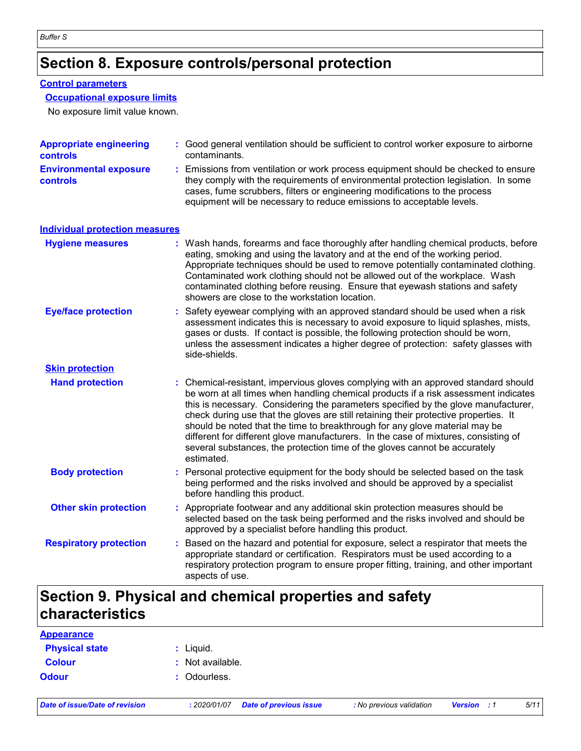### **Section 8. Exposure controls/personal protection**

#### **Control parameters**

#### **Occupational exposure limits**

No exposure limit value known.

| <b>Appropriate engineering</b><br>controls       | : Good general ventilation should be sufficient to control worker exposure to airborne<br>contaminants.                                                                                                                                                                                                                                                                                                                                                                                                                                                                                                                   |
|--------------------------------------------------|---------------------------------------------------------------------------------------------------------------------------------------------------------------------------------------------------------------------------------------------------------------------------------------------------------------------------------------------------------------------------------------------------------------------------------------------------------------------------------------------------------------------------------------------------------------------------------------------------------------------------|
| <b>Environmental exposure</b><br><b>controls</b> | : Emissions from ventilation or work process equipment should be checked to ensure<br>they comply with the requirements of environmental protection legislation. In some<br>cases, fume scrubbers, filters or engineering modifications to the process<br>equipment will be necessary to reduce emissions to acceptable levels.                                                                                                                                                                                                                                                                                           |
| <b>Individual protection measures</b>            |                                                                                                                                                                                                                                                                                                                                                                                                                                                                                                                                                                                                                           |
| <b>Hygiene measures</b>                          | : Wash hands, forearms and face thoroughly after handling chemical products, before<br>eating, smoking and using the lavatory and at the end of the working period.<br>Appropriate techniques should be used to remove potentially contaminated clothing.<br>Contaminated work clothing should not be allowed out of the workplace. Wash<br>contaminated clothing before reusing. Ensure that eyewash stations and safety<br>showers are close to the workstation location.                                                                                                                                               |
| <b>Eye/face protection</b>                       | Safety eyewear complying with an approved standard should be used when a risk<br>assessment indicates this is necessary to avoid exposure to liquid splashes, mists,<br>gases or dusts. If contact is possible, the following protection should be worn,<br>unless the assessment indicates a higher degree of protection: safety glasses with<br>side-shields.                                                                                                                                                                                                                                                           |
| <b>Skin protection</b>                           |                                                                                                                                                                                                                                                                                                                                                                                                                                                                                                                                                                                                                           |
| <b>Hand protection</b>                           | : Chemical-resistant, impervious gloves complying with an approved standard should<br>be worn at all times when handling chemical products if a risk assessment indicates<br>this is necessary. Considering the parameters specified by the glove manufacturer,<br>check during use that the gloves are still retaining their protective properties. It<br>should be noted that the time to breakthrough for any glove material may be<br>different for different glove manufacturers. In the case of mixtures, consisting of<br>several substances, the protection time of the gloves cannot be accurately<br>estimated. |
| <b>Body protection</b>                           | : Personal protective equipment for the body should be selected based on the task<br>being performed and the risks involved and should be approved by a specialist<br>before handling this product.                                                                                                                                                                                                                                                                                                                                                                                                                       |
| <b>Other skin protection</b>                     | : Appropriate footwear and any additional skin protection measures should be<br>selected based on the task being performed and the risks involved and should be<br>approved by a specialist before handling this product.                                                                                                                                                                                                                                                                                                                                                                                                 |
| <b>Respiratory protection</b>                    | : Based on the hazard and potential for exposure, select a respirator that meets the<br>appropriate standard or certification. Respirators must be used according to a<br>respiratory protection program to ensure proper fitting, training, and other important<br>aspects of use.                                                                                                                                                                                                                                                                                                                                       |

### **Section 9. Physical and chemical properties and safety characteristics**

| <b>Appearance</b>     |                  |
|-----------------------|------------------|
| <b>Physical state</b> | : Liquid.        |
| <b>Colour</b>         | : Not available. |
| <b>Odour</b>          | : Odourless.     |
|                       |                  |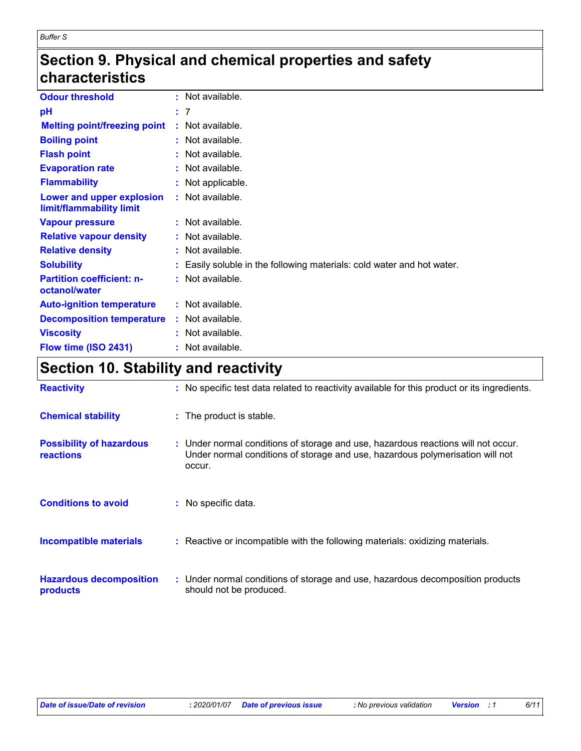### **Section 9. Physical and chemical properties and safety characteristics**

| <b>Odour threshold</b>                                | : Not available.                                                       |
|-------------------------------------------------------|------------------------------------------------------------------------|
| рH                                                    | : 7                                                                    |
| <b>Melting point/freezing point</b>                   | : Not available.                                                       |
| <b>Boiling point</b>                                  | $:$ Not available.                                                     |
| <b>Flash point</b>                                    | : Not available.                                                       |
| <b>Evaporation rate</b>                               | $:$ Not available.                                                     |
| <b>Flammability</b>                                   | : Not applicable.                                                      |
| Lower and upper explosion<br>limit/flammability limit | : Not available.                                                       |
| <b>Vapour pressure</b>                                | : Not available.                                                       |
| <b>Relative vapour density</b>                        | : Not available.                                                       |
| <b>Relative density</b>                               | : Not available.                                                       |
| <b>Solubility</b>                                     | : Easily soluble in the following materials: cold water and hot water. |
| <b>Partition coefficient: n-</b><br>octanol/water     | $:$ Not available.                                                     |
| <b>Auto-ignition temperature</b>                      | : Not available.                                                       |
| <b>Decomposition temperature</b>                      | : Not available.                                                       |
| <b>Viscosity</b>                                      | $:$ Not available.                                                     |
| Flow time (ISO 2431)                                  | : Not available.                                                       |

# **Section 10. Stability and reactivity**

| <b>Reactivity</b>                                   | : No specific test data related to reactivity available for this product or its ingredients.                                                                                 |
|-----------------------------------------------------|------------------------------------------------------------------------------------------------------------------------------------------------------------------------------|
| <b>Chemical stability</b>                           | : The product is stable.                                                                                                                                                     |
| <b>Possibility of hazardous</b><br><b>reactions</b> | : Under normal conditions of storage and use, hazardous reactions will not occur.<br>Under normal conditions of storage and use, hazardous polymerisation will not<br>occur. |
| <b>Conditions to avoid</b>                          | : No specific data.                                                                                                                                                          |
| <b>Incompatible materials</b>                       | : Reactive or incompatible with the following materials: oxidizing materials.                                                                                                |
| <b>Hazardous decomposition</b><br>products          | : Under normal conditions of storage and use, hazardous decomposition products<br>should not be produced.                                                                    |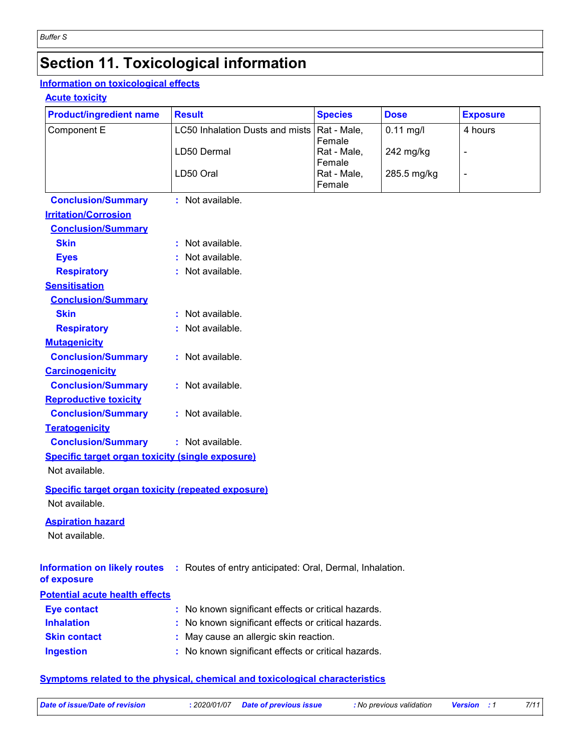# **Section 11. Toxicological information**

#### **Information on toxicological effects**

#### **Acute toxicity**

| <b>Product/ingredient name</b>                            | <b>Result</b>                                            | <b>Species</b>        | <b>Dose</b> | <b>Exposure</b> |  |
|-----------------------------------------------------------|----------------------------------------------------------|-----------------------|-------------|-----------------|--|
| Component E                                               | LC50 Inhalation Dusts and mists                          | Rat - Male,           | $0.11$ mg/l | 4 hours         |  |
|                                                           | LD50 Dermal                                              | Female<br>Rat - Male, | 242 mg/kg   | $\overline{a}$  |  |
|                                                           |                                                          | Female                |             |                 |  |
|                                                           | LD50 Oral                                                | Rat - Male,           | 285.5 mg/kg | $\blacksquare$  |  |
|                                                           |                                                          | Female                |             |                 |  |
| <b>Conclusion/Summary</b><br><b>Irritation/Corrosion</b>  | : Not available.                                         |                       |             |                 |  |
| <b>Conclusion/Summary</b>                                 |                                                          |                       |             |                 |  |
| <b>Skin</b>                                               | : Not available.                                         |                       |             |                 |  |
| <b>Eyes</b>                                               | Not available.                                           |                       |             |                 |  |
| <b>Respiratory</b>                                        | : Not available.                                         |                       |             |                 |  |
| <b>Sensitisation</b>                                      |                                                          |                       |             |                 |  |
| <b>Conclusion/Summary</b>                                 |                                                          |                       |             |                 |  |
| <b>Skin</b>                                               | : Not available.                                         |                       |             |                 |  |
| <b>Respiratory</b>                                        | : Not available.                                         |                       |             |                 |  |
| <b>Mutagenicity</b>                                       |                                                          |                       |             |                 |  |
| <b>Conclusion/Summary</b>                                 | : Not available.                                         |                       |             |                 |  |
| <b>Carcinogenicity</b>                                    |                                                          |                       |             |                 |  |
| <b>Conclusion/Summary</b>                                 | : Not available.                                         |                       |             |                 |  |
| <b>Reproductive toxicity</b>                              |                                                          |                       |             |                 |  |
| <b>Conclusion/Summary</b>                                 | : Not available.                                         |                       |             |                 |  |
| <b>Teratogenicity</b>                                     |                                                          |                       |             |                 |  |
| <b>Conclusion/Summary</b>                                 | : Not available.                                         |                       |             |                 |  |
| <b>Specific target organ toxicity (single exposure)</b>   |                                                          |                       |             |                 |  |
| Not available.                                            |                                                          |                       |             |                 |  |
| <b>Specific target organ toxicity (repeated exposure)</b> |                                                          |                       |             |                 |  |
| Not available.                                            |                                                          |                       |             |                 |  |
| <b>Aspiration hazard</b>                                  |                                                          |                       |             |                 |  |
| Not available.                                            |                                                          |                       |             |                 |  |
|                                                           |                                                          |                       |             |                 |  |
| <b>Information on likely routes</b><br>of exposure        | : Routes of entry anticipated: Oral, Dermal, Inhalation. |                       |             |                 |  |
| <b>Potential acute health effects</b>                     |                                                          |                       |             |                 |  |
| <b>Eye contact</b>                                        | : No known significant effects or critical hazards.      |                       |             |                 |  |
| <b>Inhalation</b>                                         | No known significant effects or critical hazards.        |                       |             |                 |  |
| <b>Skin contact</b>                                       | May cause an allergic skin reaction.                     |                       |             |                 |  |
| <b>Ingestion</b>                                          | : No known significant effects or critical hazards.      |                       |             |                 |  |
|                                                           |                                                          |                       |             |                 |  |

#### **Symptoms related to the physical, chemical and toxicological characteristics**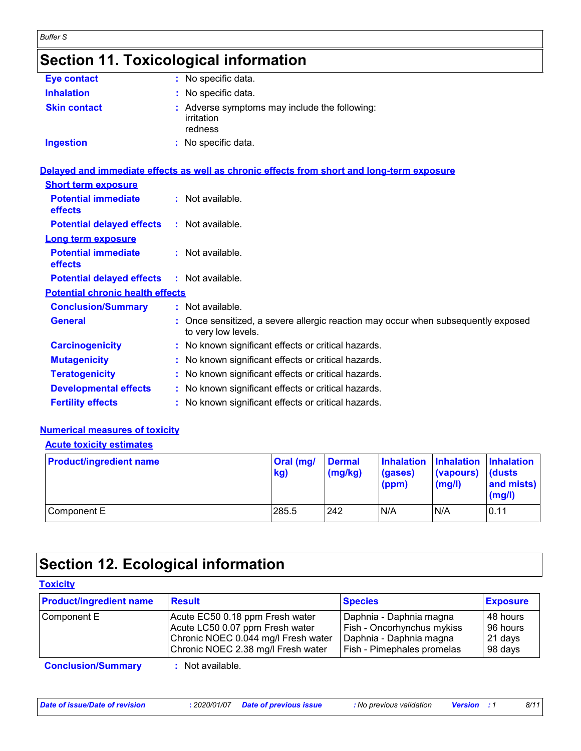# **Section 11. Toxicological information**

*Buffer S*

| <b>Eye contact</b>  | : No specific data.                                                    |
|---------------------|------------------------------------------------------------------------|
| <b>Inhalation</b>   | : No specific data.                                                    |
| <b>Skin contact</b> | : Adverse symptoms may include the following:<br>irritation<br>redness |
| <b>Ingestion</b>    | : No specific data.                                                    |

|                                              | Delayed and immediate effects as well as chronic effects from short and long-term exposure               |
|----------------------------------------------|----------------------------------------------------------------------------------------------------------|
| <b>Short term exposure</b>                   |                                                                                                          |
| <b>Potential immediate</b><br><b>effects</b> | $:$ Not available.                                                                                       |
| <b>Potential delayed effects</b>             | : Not available.                                                                                         |
| <b>Long term exposure</b>                    |                                                                                                          |
| <b>Potential immediate</b><br>effects        | : Not available.                                                                                         |
| <b>Potential delayed effects</b>             | $:$ Not available.                                                                                       |
| <b>Potential chronic health effects</b>      |                                                                                                          |
| <b>Conclusion/Summary</b>                    | $:$ Not available.                                                                                       |
| <b>General</b>                               | : Once sensitized, a severe allergic reaction may occur when subsequently exposed<br>to very low levels. |
| <b>Carcinogenicity</b>                       | : No known significant effects or critical hazards.                                                      |
| <b>Mutagenicity</b>                          | : No known significant effects or critical hazards.                                                      |
| <b>Teratogenicity</b>                        | : No known significant effects or critical hazards.                                                      |
| <b>Developmental effects</b>                 | : No known significant effects or critical hazards.                                                      |
| <b>Fertility effects</b>                     | : No known significant effects or critical hazards.                                                      |

#### **Numerical measures of toxicity**

#### **Acute toxicity estimates**

| <b>Product/ingredient name</b> | $ Oral$ (mg/<br>kg) | <b>Dermal</b><br>$\log(kg)$ | (gases)<br>(ppm) | Inhalation Inhalation Inhalation<br>(vapours)<br>(mg/l) | <b>dusts</b><br>and mists)<br>(mg/l) |
|--------------------------------|---------------------|-----------------------------|------------------|---------------------------------------------------------|--------------------------------------|
| Component E                    | 285.5               | 242                         | N/A              | N/A                                                     | 0.11                                 |

# **Section 12. Ecological information**

| <b>Product/ingredient name</b> | <b>Result</b>                       | <b>Species</b>             | <b>Exposure</b> |
|--------------------------------|-------------------------------------|----------------------------|-----------------|
| Component E                    | Acute EC50 0.18 ppm Fresh water     | Daphnia - Daphnia magna    | 48 hours        |
|                                | Acute LC50 0.07 ppm Fresh water     | Fish - Oncorhynchus mykiss | 96 hours        |
|                                | Chronic NOEC 0.044 mg/l Fresh water | Daphnia - Daphnia magna    | 21 days         |
|                                | Chronic NOEC 2.38 mg/l Fresh water  | Fish - Pimephales promelas | 98 days         |

**Conclusion/Summary :** Not available.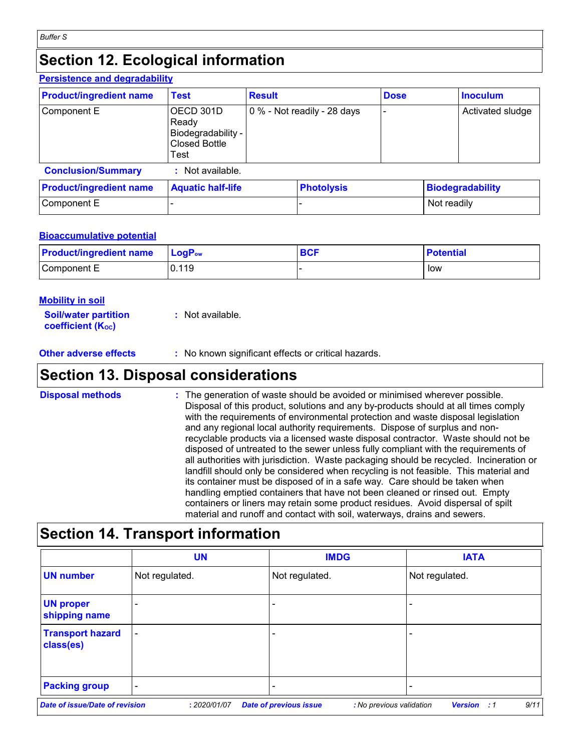#### **Section 12. Ecological information Persistence and degradability**

|                                             |                    | <b>Dose</b>                                      |             | <b>Inoculum</b>         |
|---------------------------------------------|--------------------|--------------------------------------------------|-------------|-------------------------|
| OECD 301D<br>Ready<br>Closed Bottle<br>Test |                    |                                                  |             | Activated sludge        |
| Not available.                              |                    |                                                  |             |                         |
| <b>Aquatic half-life</b>                    |                    |                                                  |             | <b>Biodegradability</b> |
|                                             |                    |                                                  | Not readily |                         |
|                                             | Biodegradability - | 0 % - Not readily - 28 days<br><b>Photolysis</b> |             |                         |

#### **Bioaccumulative potential**

| <b>Product/ingredient name</b> | $LogPow$ | <b>BCF</b> | <b>Potential</b> |
|--------------------------------|----------|------------|------------------|
| Component E                    | 0.119    |            | low              |

| Mobility in soil                                        |                  |
|---------------------------------------------------------|------------------|
| <b>Soil/water partition</b><br><b>coefficient (Koc)</b> | : Not available. |

**Other adverse effects** : No known significant effects or critical hazards.

### **Section 13. Disposal considerations**

| <b>Disposal methods</b> | : The generation of waste should be avoided or minimised wherever possible.<br>Disposal of this product, solutions and any by-products should at all times comply<br>with the requirements of environmental protection and waste disposal legislation<br>and any regional local authority requirements. Dispose of surplus and non-<br>recyclable products via a licensed waste disposal contractor. Waste should not be<br>disposed of untreated to the sewer unless fully compliant with the requirements of<br>all authorities with jurisdiction. Waste packaging should be recycled. Incineration or<br>landfill should only be considered when recycling is not feasible. This material and<br>its container must be disposed of in a safe way. Care should be taken when<br>handling emptied containers that have not been cleaned or rinsed out. Empty |
|-------------------------|---------------------------------------------------------------------------------------------------------------------------------------------------------------------------------------------------------------------------------------------------------------------------------------------------------------------------------------------------------------------------------------------------------------------------------------------------------------------------------------------------------------------------------------------------------------------------------------------------------------------------------------------------------------------------------------------------------------------------------------------------------------------------------------------------------------------------------------------------------------|
|                         | containers or liners may retain some product residues. Avoid dispersal of spilt<br>material and runoff and contact with soil, waterways, drains and sewers.                                                                                                                                                                                                                                                                                                                                                                                                                                                                                                                                                                                                                                                                                                   |

# **Section 14. Transport information**

|                                       | <b>UN</b>                | <b>IMDG</b>                   |                          | <b>IATA</b>                |
|---------------------------------------|--------------------------|-------------------------------|--------------------------|----------------------------|
| <b>UN number</b>                      | Not regulated.           | Not regulated.                | Not regulated.           |                            |
| <b>UN proper</b><br>shipping name     | $\overline{\phantom{0}}$ |                               |                          |                            |
| <b>Transport hazard</b><br>class(es)  | $\overline{\phantom{a}}$ |                               |                          |                            |
| <b>Packing group</b>                  | $\overline{\phantom{0}}$ | $\overline{\phantom{0}}$      |                          |                            |
| <b>Date of issue/Date of revision</b> | : 2020/01/07             | <b>Date of previous issue</b> | : No previous validation | 9/11<br><b>Version</b> : 1 |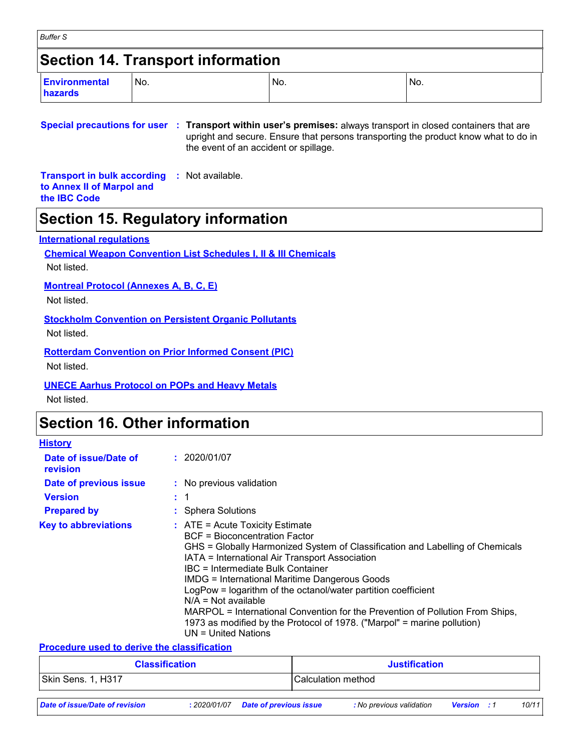| <b>Buffer S</b>                          |     |     |     |  |  |  |  |  |
|------------------------------------------|-----|-----|-----|--|--|--|--|--|
| <b>Section 14. Transport information</b> |     |     |     |  |  |  |  |  |
| Environmental<br>hazards                 | No. | No. | No. |  |  |  |  |  |

#### **Special precautions for user : Transport within user's premises:** always transport in closed containers that are upright and secure. Ensure that persons transporting the product know what to do in the event of an accident or spillage.

**Transport in bulk according :** Not available. **to Annex II of Marpol and the IBC Code**

### **Section 15. Regulatory information**

#### **International regulations**

**Chemical Weapon Convention List Schedules I, II & III Chemicals**

Not listed.

**Montreal Protocol (Annexes A, B, C, E)**

Not listed.

**Stockholm Convention on Persistent Organic Pollutants**

Not listed.

**Rotterdam Convention on Prior Informed Consent (PIC)**

Not listed.

**UNECE Aarhus Protocol on POPs and Heavy Metals**

Not listed.

### **Section 16. Other information**

| <b>History</b>                    |                                                                                                                                                                                                                                                                                                                                                                                                                                                                                                                                                                                            |
|-----------------------------------|--------------------------------------------------------------------------------------------------------------------------------------------------------------------------------------------------------------------------------------------------------------------------------------------------------------------------------------------------------------------------------------------------------------------------------------------------------------------------------------------------------------------------------------------------------------------------------------------|
| Date of issue/Date of<br>revision | : 2020/01/07                                                                                                                                                                                                                                                                                                                                                                                                                                                                                                                                                                               |
| Date of previous issue            | : No previous validation                                                                                                                                                                                                                                                                                                                                                                                                                                                                                                                                                                   |
| <b>Version</b>                    | $\div$ 1                                                                                                                                                                                                                                                                                                                                                                                                                                                                                                                                                                                   |
| <b>Prepared by</b>                | : Sphera Solutions                                                                                                                                                                                                                                                                                                                                                                                                                                                                                                                                                                         |
| <b>Key to abbreviations</b>       | $\therefore$ ATE = Acute Toxicity Estimate<br>BCF = Bioconcentration Factor<br>GHS = Globally Harmonized System of Classification and Labelling of Chemicals<br>IATA = International Air Transport Association<br>IBC = Intermediate Bulk Container<br><b>IMDG = International Maritime Dangerous Goods</b><br>LogPow = logarithm of the octanol/water partition coefficient<br>$N/A = Not available$<br>MARPOL = International Convention for the Prevention of Pollution From Ships,<br>1973 as modified by the Protocol of 1978. ("Marpol" = marine pollution)<br>$UN = United Nations$ |

#### **Procedure used to derive the classification**

| <b>Classification</b>          |              |                               | <b>Justification</b> |                          |                    |  |       |
|--------------------------------|--------------|-------------------------------|----------------------|--------------------------|--------------------|--|-------|
| Skin Sens. 1, H317             |              |                               | Calculation method   |                          |                    |  |       |
| Date of issue/Date of revision | : 2020/01/07 | <b>Date of previous issue</b> |                      | : No previous validation | <b>Version</b> : 1 |  | 10/11 |